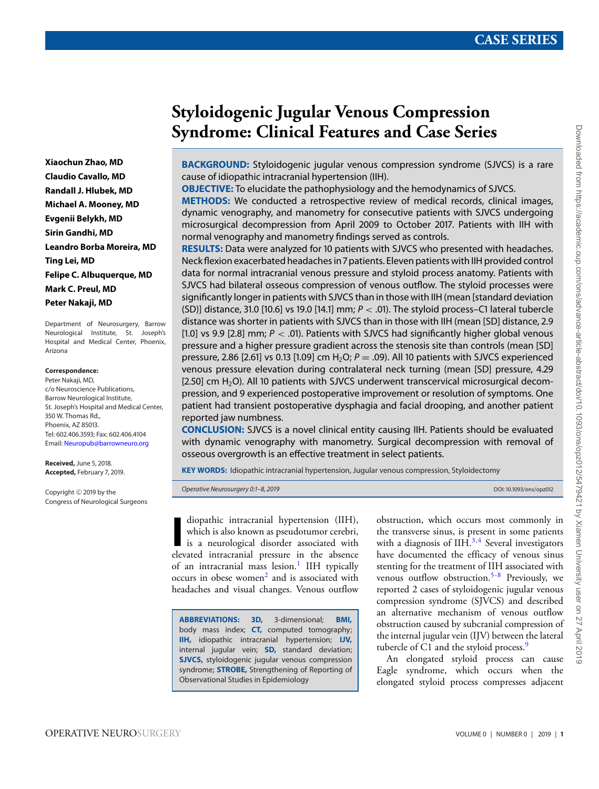# **Xiaochun Zhao, MD Claudio Cavallo, MD Randall J. Hlubek, MD Michael A. Mooney, MD Evgenii Belykh, MD Sirin Gandhi, MD Leandro Borba Moreira, MD Ting Lei, MD Felipe C. Albuquerque, MD Mark C. Preul, MD Peter Nakaji, MD**

Department of Neurosurgery, Barrow Neurological Institute, St. Joseph's Hospital and Medical Center, Phoenix, Arizona

#### **Correspondence:**

Peter Nakaji, MD, c/o Neuroscience Publications, Barrow Neurological Institute, St. Joseph's Hospital and Medical Center, 350 W. Thomas Rd., Phoenix, AZ 85013. Tel: 602.406.3593; Fax: 602.406.4104 Email: [Neuropub@barrowneuro.org](mailto:Neuropub@barrowneuro.org)

**Received,** June 5, 2018. **Accepted,** February 7, 2019.

Copyright  $\copyright$  2019 by the Congress of Neurological Surgeons

# **Styloidogenic Jugular Venous Compression Syndrome: Clinical Features and Case Series**

**BACKGROUND:** Styloidogenic jugular venous compression syndrome (SJVCS) is a rare cause of idiopathic intracranial hypertension (IIH).

**OBJECTIVE:** To elucidate the pathophysiology and the hemodynamics of SJVCS.

**METHODS:** We conducted a retrospective review of medical records, clinical images, dynamic venography, and manometry for consecutive patients with SJVCS undergoing microsurgical decompression from April 2009 to October 2017. Patients with IIH with normal venography and manometry findings served as controls.

**RESULTS:** Data were analyzed for 10 patients with SJVCS who presented with headaches. Neck flexion exacerbated headaches in 7 patients. Eleven patients with IIH provided control data for normal intracranial venous pressure and styloid process anatomy. Patients with SJVCS had bilateral osseous compression of venous outflow. The styloid processes were significantly longer in patients with SJVCS than in those with IIH (mean [standard deviation (SD)] distance, 31.0 [10.6] vs 19.0 [14.1] mm;  $P < .01$ ). The styloid process–C1 lateral tubercle distance was shorter in patients with SJVCS than in those with IIH (mean [SD] distance, 2.9 [1.0] vs 9.9 [2.8] mm;  $P <$  .01). Patients with SJVCS had significantly higher global venous pressure and a higher pressure gradient across the stenosis site than controls (mean [SD] pressure, 2.86 [2.61] vs 0.13 [1.09] cm H<sub>2</sub>O;  $P = .09$ ). All 10 patients with SJVCS experienced venous pressure elevation during contralateral neck turning (mean [SD] pressure, 4.29  $[2.50]$  cm  $H<sub>2</sub>O$ ). All 10 patients with SJVCS underwent transcervical microsurgical decompression, and 9 experienced postoperative improvement or resolution of symptoms. One patient had transient postoperative dysphagia and facial drooping, and another patient reported jaw numbness.

**CONCLUSION:** SJVCS is a novel clinical entity causing IIH. Patients should be evaluated with dynamic venography with manometry. Surgical decompression with removal of osseous overgrowth is an effective treatment in select patients.

**KEY WORDS:** Idiopathic intracranial hypertension, Jugular venous compression, Styloidectomy

Operative Neurosurgery 0:1–8, 2019 and the contract of the contract of the contract of the contract of the contract of the contract of the contract of the contract of the contract of the contract of the contract of the con

diopathic intracranial hypertension (IIH), which is also known as pseudotumor cerebri, is a neurological disorder associated with elevated intracranial pressure in the absence diopathic intracranial hypertension (IIH), which is also known as pseudotumor cerebri, is a neurological disorder associated with of an intracranial mass lesion.<sup>[1](#page-6-0)</sup> IIH typically occurs in obese women<sup>2</sup> and is associated with headaches and visual changes. Venous outflow

**ABBREVIATIONS: 3D,** 3-dimensional; **BMI,** body mass index; **CT,** computed tomography; **IIH,** idiopathic intracranial hypertension; **IJV,** internal jugular vein; **SD,** standard deviation; **SJVCS,** styloidogenic jugular venous compression syndrome; **STROBE,** Strengthening of Reporting of Observational Studies in Epidemiology

obstruction, which occurs most commonly in the transverse sinus, is present in some patients with a diagnosis of  $I H<sup>3,4</sup>$  $I H<sup>3,4</sup>$  $I H<sup>3,4</sup>$  $I H<sup>3,4</sup>$  Several investigators have documented the efficacy of venous sinus stenting for the treatment of IIH associated with venous outflow obstruction.<sup>[5-](#page-6-4)[8](#page-6-5)</sup> Previously, we reported 2 cases of styloidogenic jugular venous compression syndrome (SJVCS) and described an alternative mechanism of venous outflow obstruction caused by subcranial compression of the internal jugular vein (IJV) between the lateral tubercle of C1 and the styloid process.<sup>[9](#page-6-6)</sup>

An elongated styloid process can cause Eagle syndrome, which occurs when the elongated styloid process compresses adjacent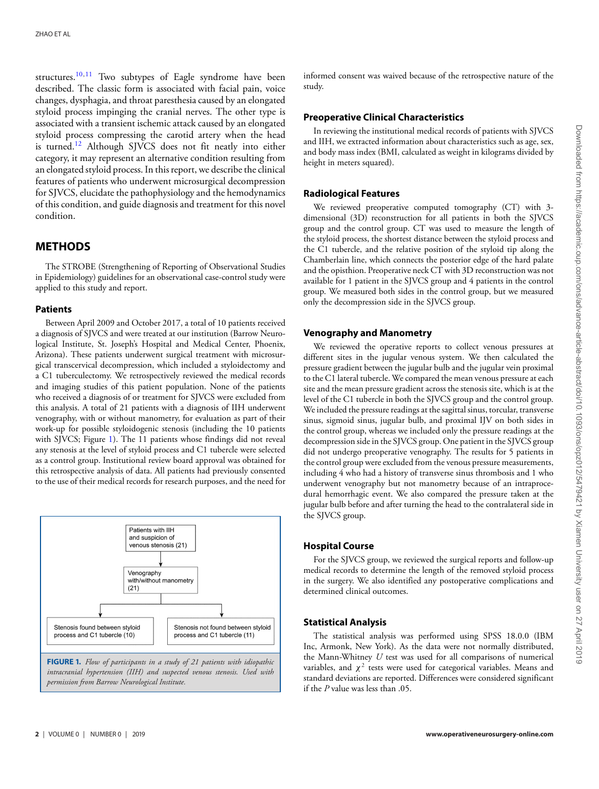structures.<sup>[10,](#page-6-7)[11](#page-6-8)</sup> Two subtypes of Eagle syndrome have been described. The classic form is associated with facial pain, voice changes, dysphagia, and throat paresthesia caused by an elongated styloid process impinging the cranial nerves. The other type is associated with a transient ischemic attack caused by an elongated styloid process compressing the carotid artery when the head is turned.[12](#page-6-9) Although SJVCS does not fit neatly into either category, it may represent an alternative condition resulting from an elongated styloid process. In this report, we describe the clinical features of patients who underwent microsurgical decompression for SJVCS, elucidate the pathophysiology and the hemodynamics of this condition, and guide diagnosis and treatment for this novel condition.

# **METHODS**

The STROBE (Strengthening of Reporting of Observational Studies in Epidemiology) guidelines for an observational case-control study were applied to this study and report.

#### **Patients**

Between April 2009 and October 2017, a total of 10 patients received a diagnosis of SJVCS and were treated at our institution (Barrow Neurological Institute, St. Joseph's Hospital and Medical Center, Phoenix, Arizona). These patients underwent surgical treatment with microsurgical transcervical decompression, which included a styloidectomy and a C1 tuberculectomy. We retrospectively reviewed the medical records and imaging studies of this patient population. None of the patients who received a diagnosis of or treatment for SJVCS were excluded from this analysis. A total of 21 patients with a diagnosis of IIH underwent venography, with or without manometry, for evaluation as part of their work-up for possible styloidogenic stenosis (including the 10 patients with SJVCS; Figure [1\)](#page-1-0). The 11 patients whose findings did not reveal any stenosis at the level of styloid process and C1 tubercle were selected as a control group. Institutional review board approval was obtained for this retrospective analysis of data. All patients had previously consented to the use of their medical records for research purposes, and the need for

<span id="page-1-0"></span>

informed consent was waived because of the retrospective nature of the study.

## **Preoperative Clinical Characteristics**

In reviewing the institutional medical records of patients with SJVCS and IIH, we extracted information about characteristics such as age, sex, and body mass index (BMI, calculated as weight in kilograms divided by height in meters squared).

# **Radiological Features**

We reviewed preoperative computed tomography (CT) with 3 dimensional (3D) reconstruction for all patients in both the SJVCS group and the control group. CT was used to measure the length of the styloid process, the shortest distance between the styloid process and the C1 tubercle, and the relative position of the styloid tip along the Chamberlain line, which connects the posterior edge of the hard palate and the opisthion. Preoperative neck CT with 3D reconstruction was not available for 1 patient in the SJVCS group and 4 patients in the control group. We measured both sides in the control group, but we measured only the decompression side in the SJVCS group.

## **Venography and Manometry**

We reviewed the operative reports to collect venous pressures at different sites in the jugular venous system. We then calculated the pressure gradient between the jugular bulb and the jugular vein proximal to the C1 lateral tubercle. We compared the mean venous pressure at each site and the mean pressure gradient across the stenosis site, which is at the level of the C1 tubercle in both the SJVCS group and the control group. We included the pressure readings at the sagittal sinus, torcular, transverse sinus, sigmoid sinus, jugular bulb, and proximal IJV on both sides in the control group, whereas we included only the pressure readings at the decompression side in the SJVCS group. One patient in the SJVCS group did not undergo preoperative venography. The results for 5 patients in the control group were excluded from the venous pressure measurements, including 4 who had a history of transverse sinus thrombosis and 1 who underwent venography but not manometry because of an intraprocedural hemorrhagic event. We also compared the pressure taken at the jugular bulb before and after turning the head to the contralateral side in the SJVCS group.

## **Hospital Course**

For the SJVCS group, we reviewed the surgical reports and follow-up medical records to determine the length of the removed styloid process in the surgery. We also identified any postoperative complications and determined clinical outcomes.

## **Statistical Analysis**

The statistical analysis was performed using SPSS 18.0.0 (IBM Inc, Armonk, New York). As the data were not normally distributed, the Mann-Whitney *U* test was used for all comparisons of numerical variables, and  $\chi^2$  tests were used for categorical variables. Means and standard deviations are reported. Differences were considered significant if the *P* value was less than .05.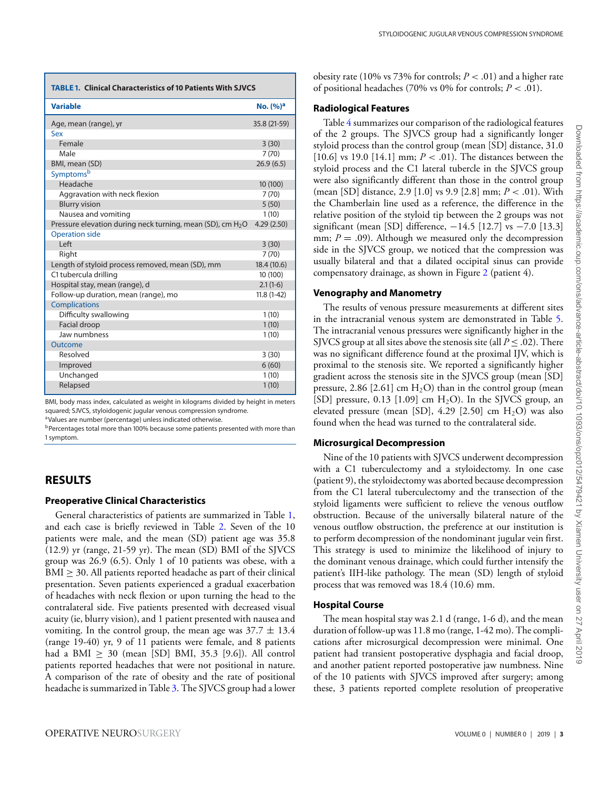<span id="page-2-0"></span>

| <b>TABLE 1. Clinical Characteristics of 10 Patients With SJVCS</b>     |                      |  |  |  |
|------------------------------------------------------------------------|----------------------|--|--|--|
| <b>Variable</b>                                                        | No. (%) <sup>a</sup> |  |  |  |
| Age, mean (range), yr                                                  | 35.8 (21-59)         |  |  |  |
| Sex                                                                    |                      |  |  |  |
| Female                                                                 | 3(30)                |  |  |  |
| Male                                                                   | 7(70)                |  |  |  |
| BMI, mean (SD)                                                         | 26.9(6.5)            |  |  |  |
| Symptomsb                                                              |                      |  |  |  |
| Headache                                                               | 10 (100)             |  |  |  |
| Aggravation with neck flexion                                          | 7(70)                |  |  |  |
| <b>Blurry vision</b>                                                   | 5(50)                |  |  |  |
| Nausea and vomiting                                                    | 1(10)                |  |  |  |
| Pressure elevation during neck turning, mean (SD), cm H <sub>2</sub> O | 4.29(2.50)           |  |  |  |
| <b>Operation side</b>                                                  |                      |  |  |  |
| Left                                                                   | 3(30)                |  |  |  |
| Right                                                                  | 7(70)                |  |  |  |
| Length of styloid process removed, mean (SD), mm                       | 18.4 (10.6)          |  |  |  |
| C1 tubercula drilling                                                  | 10 (100)             |  |  |  |
| Hospital stay, mean (range), d                                         | $2.1(1-6)$           |  |  |  |
| Follow-up duration, mean (range), mo                                   | $11.8(1-42)$         |  |  |  |
| <b>Complications</b>                                                   |                      |  |  |  |
| Difficulty swallowing                                                  | 1(10)                |  |  |  |
| Facial droop                                                           | 1(10)                |  |  |  |
| Jaw numbness                                                           | 1(10)                |  |  |  |
| Outcome                                                                |                      |  |  |  |
| Resolved                                                               | 3(30)                |  |  |  |
| Improved                                                               | 6(60)                |  |  |  |
| Unchanged                                                              | 1(10)                |  |  |  |
| Relapsed                                                               | 1(10)                |  |  |  |

BMI, body mass index, calculated as weight in kilograms divided by height in meters squared; SJVCS, styloidogenic jugular venous compression syndrome.

<sup>a</sup>Values are number (percentage) unless indicated otherwise.

b Percentages total more than 100% because some patients presented with more than 1 symptom.

# **RESULTS**

# **Preoperative Clinical Characteristics**

General characteristics of patients are summarized in Table [1,](#page-2-0) and each case is briefly reviewed in Table [2.](#page-3-0) Seven of the 10 patients were male, and the mean (SD) patient age was 35.8 (12.9) yr (range, 21-59 yr). The mean (SD) BMI of the SJVCS group was 26.9 (6.5). Only 1 of 10 patients was obese, with a BMI ≥ 30. All patients reported headache as part of their clinical presentation. Seven patients experienced a gradual exacerbation of headaches with neck flexion or upon turning the head to the contralateral side. Five patients presented with decreased visual acuity (ie, blurry vision), and 1 patient presented with nausea and vomiting. In the control group, the mean age was  $37.7 \pm 13.4$ (range 19-40) yr, 9 of 11 patients were female, and 8 patients had a BMI  $\geq$  30 (mean [SD] BMI, 35.3 [9.6]). All control patients reported headaches that were not positional in nature. A comparison of the rate of obesity and the rate of positional headache is summarized in Table [3.](#page-3-1) The SJVCS group had a lower obesity rate (10% vs 73% for controls; *P* < .01) and a higher rate of positional headaches (70% vs 0% for controls; *P* < .01).

## **Radiological Features**

Table [4](#page-4-0) summarizes our comparison of the radiological features of the 2 groups. The SJVCS group had a significantly longer styloid process than the control group (mean [SD] distance, 31.0 [10.6] vs 19.0 [14.1] mm; *P* < .01). The distances between the styloid process and the C1 lateral tubercle in the SJVCS group were also significantly different than those in the control group (mean [SD] distance, 2.9 [1.0] vs 9.9 [2.8] mm; *P* < .01). With the Chamberlain line used as a reference, the difference in the relative position of the styloid tip between the 2 groups was not significant (mean [SD] difference, -14.5 [12.7] vs -7.0 [13.3] mm;  $P = .09$ ). Although we measured only the decompression side in the SJVCS group, we noticed that the compression was usually bilateral and that a dilated occipital sinus can provide compensatory drainage, as shown in Figure [2](#page-4-1) (patient 4).

# **Venography and Manometry**

The results of venous pressure measurements at different sites in the intracranial venous system are demonstrated in Table [5.](#page-5-0) The intracranial venous pressures were significantly higher in the SJVCS group at all sites above the stenosis site (all  $P \leq .02$ ). There was no significant difference found at the proximal IJV, which is proximal to the stenosis site. We reported a significantly higher gradient across the stenosis site in the SJVCS group (mean [SD] pressure, 2.86 [2.61] cm  $H_2O$ ) than in the control group (mean [SD] pressure,  $0.13$  [1.09] cm  $H<sub>2</sub>O$ ). In the SJVCS group, an elevated pressure (mean [SD],  $4.29$  [2.50] cm  $H<sub>2</sub>O$ ) was also found when the head was turned to the contralateral side.

# **Microsurgical Decompression**

Nine of the 10 patients with SJVCS underwent decompression with a C1 tuberculectomy and a styloidectomy. In one case (patient 9), the styloidectomy was aborted because decompression from the C1 lateral tuberculectomy and the transection of the styloid ligaments were sufficient to relieve the venous outflow obstruction. Because of the universally bilateral nature of the venous outflow obstruction, the preference at our institution is to perform decompression of the nondominant jugular vein first. This strategy is used to minimize the likelihood of injury to the dominant venous drainage, which could further intensify the patient's IIH-like pathology. The mean (SD) length of styloid process that was removed was 18.4 (10.6) mm.

# **Hospital Course**

The mea[n](#page-3-0) hospital stay was 2.1 d (range, 1-6 d), and the mean duration of follow-up was 11.8 mo (range, 1-42 mo). The complications after microsurgical decompression were minimal. One patient had transient postoperative dysphagia and facial droop, and another patient reported postoperative jaw numbness. Nine of the 10 patients with SJVCS improved after surgery; among these, 3 patients reported complete resolution of preoperative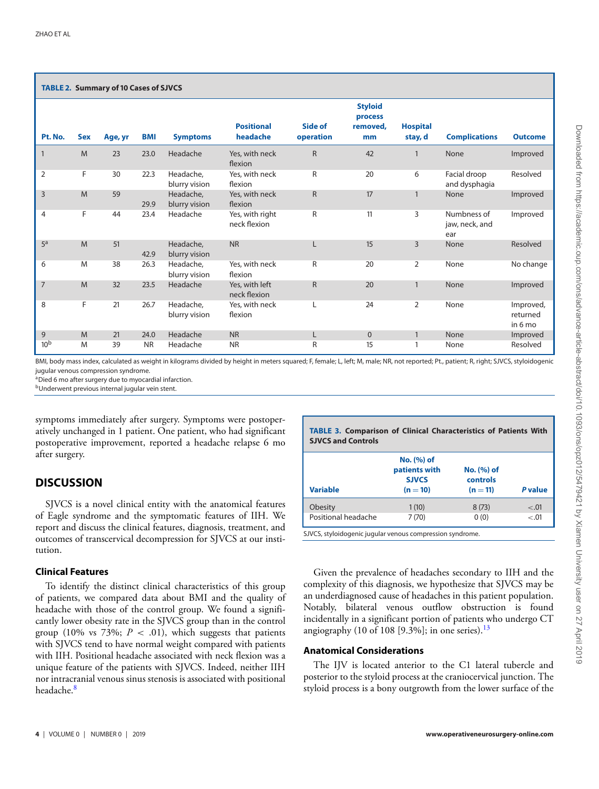<span id="page-3-0"></span>

| <b>TABLE 2. Summary of 10 Cases of SJVCS</b> |            |         |            |                            |                                 |                      |                                             |                            |                                      |                                  |
|----------------------------------------------|------------|---------|------------|----------------------------|---------------------------------|----------------------|---------------------------------------------|----------------------------|--------------------------------------|----------------------------------|
| Pt. No.                                      | <b>Sex</b> | Age, yr | <b>BMI</b> | <b>Symptoms</b>            | <b>Positional</b><br>headache   | Side of<br>operation | <b>Styloid</b><br>process<br>removed,<br>mm | <b>Hospital</b><br>stay, d | <b>Complications</b>                 | <b>Outcome</b>                   |
| $\mathbf{1}$                                 | M          | 23      | 23.0       | Headache                   | Yes, with neck<br>flexion       | $\mathsf{R}$         | 42                                          | $\mathbf{1}$               | None                                 | Improved                         |
| $\overline{2}$                               | F          | 30      | 22.3       | Headache,<br>blurry vision | Yes, with neck<br>flexion       | R                    | 20                                          | 6                          | Facial droop<br>and dysphagia        | Resolved                         |
| 3                                            | M          | 59      | 29.9       | Headache,<br>blurry vision | Yes, with neck<br>flexion       | $\mathsf{R}$         | 17                                          | $\mathbf{1}$               | None                                 | Improved                         |
| $\overline{4}$                               | F          | 44      | 23.4       | Headache                   | Yes, with right<br>neck flexion | R                    | 11                                          | 3                          | Numbness of<br>jaw, neck, and<br>ear | Improved                         |
| 5 <sup>a</sup>                               | M          | 51      | 42.9       | Headache,<br>blurry vision | <b>NR</b>                       | L                    | 15                                          | $\overline{3}$             | None                                 | Resolved                         |
| 6                                            | M          | 38      | 26.3       | Headache,<br>blurry vision | Yes, with neck<br>flexion       | R                    | 20                                          | $\overline{2}$             | None                                 | No change                        |
| $\overline{7}$                               | M          | 32      | 23.5       | Headache                   | Yes, with left<br>neck flexion  | $\mathsf{R}$         | 20                                          | $\mathbf{1}$               | None                                 | Improved                         |
| 8                                            | F          | 21      | 26.7       | Headache,<br>blurry vision | Yes, with neck<br>flexion       |                      | 24                                          | $\overline{2}$             | None                                 | Improved,<br>returned<br>in 6 mo |
| 9                                            | M          | 21      | 24.0       | Headache                   | <b>NR</b>                       | L                    | $\mathbf 0$                                 | $\mathbf{1}$               | None                                 | Improved                         |
| 10 <sup>b</sup>                              | M          | 39      | <b>NR</b>  | Headache                   | <b>NR</b>                       | R                    | 15                                          | 1                          | None                                 | Resolved                         |

BMI, body mass index, calculated as weight in kilograms divided by height in meters squared; F, female; L, left; M, male; NR, not reported; Pt., patient; R, right; SJVCS, styloidogenic jugular venous compression syndrome.

<sup>a</sup>Died 6 mo after surgery due to myocardial infarction.

**bUnderwent previous internal jugular vein stent.** 

symptoms immediately after surgery. Symptoms were postoperatively unchanged in 1 patient. One patient, who had significant postoperative improvement, reported a headache relapse 6 mo after surgery.

# **DISCUSSION**

SJVCS is a novel clinical entity with the anatomical features of Eagle syndrome and the symptomatic features of IIH. We report and discuss the clinical features, diagnosis, treatment, and outcomes of transcervical decompression for SJVCS at our institution.

# **Clinical Features**

To identify the distinct clinical characteristics of this group of patients, we compared data about BMI and the quality of headache with those of the control group. We found a significantly lower obesity rate in the SJVCS group than in the control group (10% vs 73%;  $P < .01$ ), which suggests that patients with SJVCS tend to have normal weight compared with patients with IIH. Positional headache associated with neck flexion was a unique feature of the patients with SJVCS. Indeed, neither IIH nor intracranial venous sinus stenosis is associated with positional headache.<sup>[8](#page-6-5)</sup>

<span id="page-3-1"></span>

| <b>TABLE 3. Comparison of Clinical Characteristics of Patients With</b><br><b>SJVCS and Controls</b> |                                                           |                                      |         |  |  |
|------------------------------------------------------------------------------------------------------|-----------------------------------------------------------|--------------------------------------|---------|--|--|
| Variable                                                                                             | No. (%) of<br>patients with<br><b>SJVCS</b><br>$(n = 10)$ | No. (%) of<br>controls<br>$(n = 11)$ | P value |  |  |
| Obesity                                                                                              | 1(10)                                                     | 8(73)                                | $-.01$  |  |  |
| Positional headache                                                                                  | 7(70)                                                     | 0(0)                                 | $-.01$  |  |  |

SJVCS, styloidogenic jugular venous compression syndrome.

Given the prevalence of headaches secondary to IIH and the complexity of this diagnosis, we hypothesize that SJVCS may be an underdiagnosed cause of headaches in this patient population. Notably, bilateral venous outflow obstruction is found incidentally in a significant portion of patients who undergo CT angiography (10 of 108 [9.3%]; in one series). $^{13}$ 

## **Anatomical Considerations**

The IJV i[s](#page-3-1) located anterior to the C1 lateral tubercle and posterior to the styloid proces[s](#page-4-1) at the craniocervical junction. The styloid process is a bony outgrowth from the lower surface of the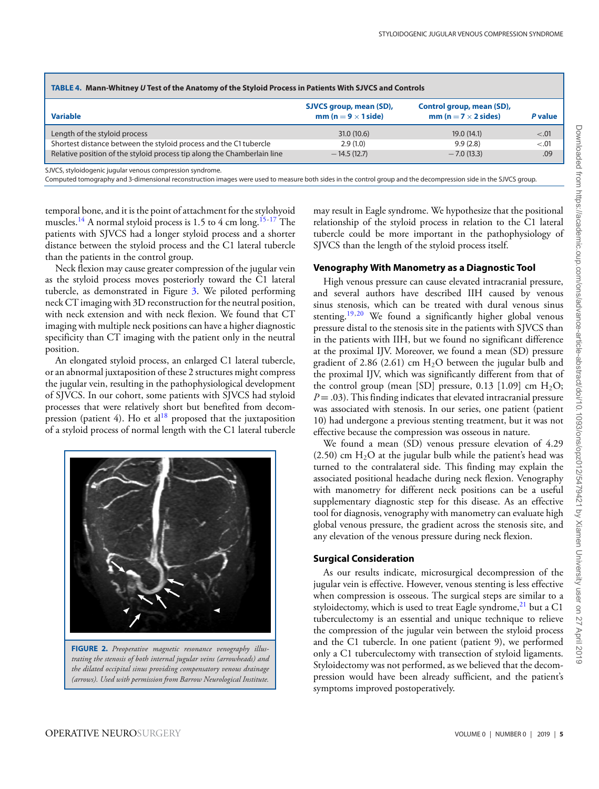<span id="page-4-0"></span>

| TABLE 4. Mann-Whitney U Test of the Anatomy of the Styloid Process in Patients With SJVCS and Controls |                                                       |                                                          |         |  |  |  |
|--------------------------------------------------------------------------------------------------------|-------------------------------------------------------|----------------------------------------------------------|---------|--|--|--|
| <b>Variable</b>                                                                                        | SJVCS group, mean (SD),<br>$mm (n = 9 \times 1$ side) | Control group, mean (SD),<br>mm (n = $7 \times 2$ sides) | P value |  |  |  |
| Length of the styloid process                                                                          | 31.0(10.6)                                            | 19.0(14.1)                                               | $-.01$  |  |  |  |
| Shortest distance between the styloid process and the C1 tubercle                                      | 2.9(1.0)                                              | 9.9(2.8)                                                 | $-.01$  |  |  |  |
| Relative position of the styloid process tip along the Chamberlain line                                | $-14.5(12.7)$                                         | $-7.0(13.3)$                                             | .09     |  |  |  |

SJVCS, styloidogenic jugular venous compression syndrome.

Computed tomography and 3-dimensional reconstruction images were used to measure both sides in the control group and the decompression side in the SJVCS group.

temporal bone, and it is the point of attachment for the stylohyoid muscles.<sup>14</sup> A normal styloid process is 1.5 to 4 cm long.<sup>15-[17](#page-6-13)</sup> The patients with SJVCS had a longer styloid process and a shorter distance between the styloid process and the C1 lateral tubercle than the patients in the control group.

Neck flexion may cause greater compression of the jugular vein as the styloid process moves posteriorly toward the C1 lateral tubercle, as demonstrated in Figure [3.](#page-5-1) We piloted performing neck CT imaging with 3D reconstruction for the neutral position, with neck extension and with neck flexion. We found that CT imaging with multiple neck positions can have a higher diagnostic specificity than CT imaging with the patient only in the neutral position.

An elongated styloid process, an enlarged C1 lateral tubercle, or an abnormal juxtaposition of these 2 structures might compress the jugular vein, resulting in the pathophysiological development of SJVCS. In our cohort, some patients with SJVCS had styloid processes that were relatively short but benefited from decompression (patient 4). Ho et al<sup>18</sup> proposed that the juxtaposition of a styloid process of normal length with the C1 lateral tubercle

<span id="page-4-1"></span>

*trating the stenosis of both internal jugular veins (arrowheads) and the dilated occipital sinus providing compensatory venous drainage (arrows). Used with permission from Barrow Neurological Institute.*

may result in Eagle syndrome. We hypothesize that the positional relationship of the styloid process in relation to the C1 lateral tubercle could be more important in the pathophysiology of SJVCS than the length of the styloid process itself.

#### **Venography With Manometry as a Diagnostic Tool**

High venou[s](#page-5-0) pressur[e](#page-5-1) can cause elevated intracranial pressure, and several authors have described IIH caused by venous sinus stenosis, which can be treated with dural venous sinus stenting.<sup>[19,](#page-6-15)[20](#page-6-16)</sup> We found a significantly higher global venous pressure distal to the stenosis site in the patients with SJVCS than in the patients with IIH, but we found no significant difference at the proximal IJV. Moreover, we found a mean (SD) pressure gradient of 2.86 (2.61) cm  $H_2O$  between the jugular bulb and the proximal IJV, which was significantly different from that of the control group (mean [SD] pressure, 0.13 [1.09] cm  $H_2O$ ;  $P = .03$ ). This finding indicates that elevated intracranial pressure was associated with stenosis. In our series, one patient (patient 10) had undergone a previous stenting treatment, but it was not effective because the compression was osseous in nature.

We found a mean (SD) venous pressure elevation of 4.29  $(2.50)$  cm H<sub>2</sub>O at the jugular bulb while the patient's head was turned to the contralateral side. This finding may explain the associated positional headache during neck flexion. Venography with manometry for different neck positions can be a useful supplementary diagnostic step for this disease. As an effective tool for diagnosis, venography with manometry can evaluate high global venous pressure, the gradient across the stenosis site, and any elevation of the venous pressure during neck flexion.

# **Surgical Consideration**

As our results indicate, microsurgical decompression of the jugular vein is effective. However, venous stenting is less effective when compression is osseous. The surgical steps are similar to a styloidectomy, which is used to treat Eagle syndrome, $^{21}$  $^{21}$  $^{21}$  but a C1 tuberculectomy is an essential and unique technique to relieve the compression of the jugular vein between the styloid process and the C1 tubercle. In one patient (patient 9), we performed only a C1 tuberculectomy with transection of styloid ligaments. Styloidectomy was not performed, as we believed that the decompression would have been already sufficient, and the patient's symptoms improved postoperatively.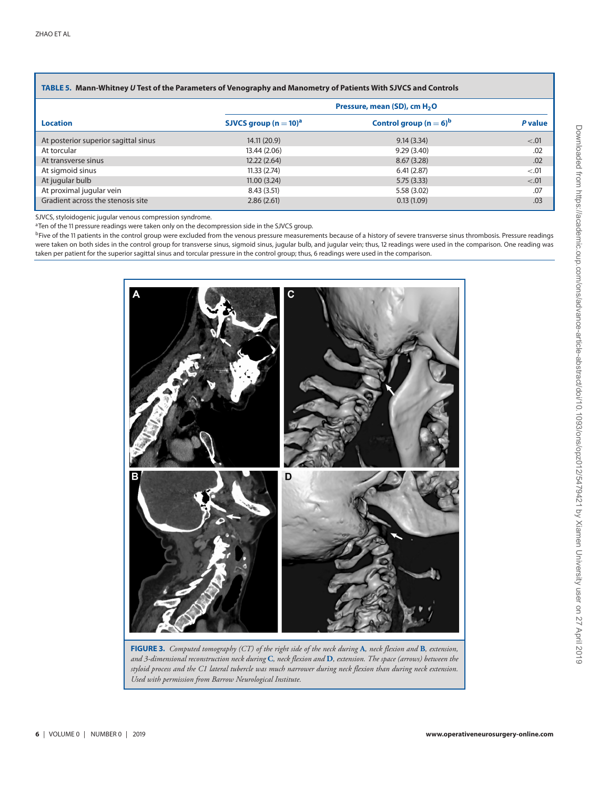## <span id="page-5-0"></span>**TABLE 5. Mann-Whitney** *U* **Test of the Parameters of Venography and Manometry of Patients With SJVCS and Controls**

|                                      |                          | Pressure, mean (SD), cm H <sub>2</sub> O |         |  |  |
|--------------------------------------|--------------------------|------------------------------------------|---------|--|--|
| <b>Location</b>                      | SJVCS group $(n = 10)^a$ | Control group $(n = 6)^b$                | P value |  |  |
| At posterior superior sagittal sinus | 14.11(20.9)              | 9.14(3.34)                               | < 0.01  |  |  |
| At torcular                          | 13.44 (2.06)             | 9.29(3.40)                               | .02     |  |  |
| At transverse sinus                  | 12.22(2.64)              | 8.67(3.28)                               | .02     |  |  |
| At sigmoid sinus                     | 11.33(2.74)              | 6.41(2.87)                               | < 0.01  |  |  |
| At jugular bulb                      | 11.00(3.24)              | 5.75(3.33)                               | < .01   |  |  |
| At proximal jugular vein             | 8.43(3.51)               | 5.58 (3.02)                              | .07     |  |  |
| Gradient across the stenosis site    | 2.86(2.61)               | 0.13(1.09)                               | .03     |  |  |

SJVCS, styloidogenic jugular venous compression syndrome.

<sup>a</sup>Ten of the 11 pressure readings were taken only on the decompression side in the SJVCS group.

<sup>b</sup>Five of the 11 patients in the control group were excluded from the venous pressure measurements because of a history of severe transverse sinus thrombosis. Pressure readings were taken on both sides in the control group for transverse sinus, sigmoid sinus, jugular bulb, and jugular vein; thus, 12 readings were used in the comparison. One reading was taken per patient for the superior sagittal sinus and torcular pressure in the control group; thus, 6 readings were used in the comparison.

<span id="page-5-1"></span>

**FIGURE 3.** *Computed tomography (CT) of the right side of the neck during* **A***, neck flexion and* **B***, extension, and 3-dimensional reconstruction neck during* **C***, neck flexion and* **D***, extension. The space (arrows) between the styloid process and the C1 lateral tubercle was much narrower during neck flexion than during neck extension. Used with permission from Barrow Neurological Institute.*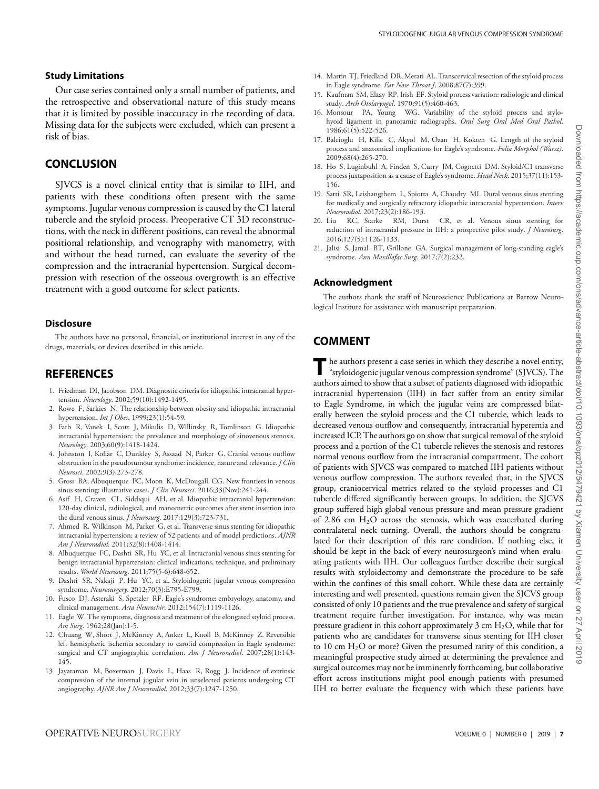#### **Study Limitations**

Our case series contained only a small number of patients, and the retrospective and observational nature of this study means that it is limited by possible inaccuracy in the recording of data. Missing data for the subjects were excluded, which can present a risk of bias.

# **CONCLUSION**

SJVCS is a novel clinical entity that is similar to IIH, and patients with these conditions often present with the same symptoms. Jugular venous compression is caused by the C1 lateral tubercle and the styloid process. Preoperative CT 3D reconstructions, with the neck in different positions, can reveal the abnormal positional relationship, and venography with manometry, with and without the head turned, can evaluate the severity of the compression and the intracranial hypertension. Surgical decompression with resection of the osseous overgrowth is an effective treatment with a good outcome for select patients.

#### **Disclosure**

The authors have no personal, financial, or institutional interest in any of the drugs, materials, or devices described in this article.

# **REFERENCES**

- <span id="page-6-0"></span>1. Friedman DI, Jacobson DM. Diagnostic criteria for idiopathic intracranial hypertension. *Neurology*. 2002;59(10):1492-1495.
- <span id="page-6-1"></span>2. Rowe F, Sarkies N. The relationship between obesity and idiopathic intracranial hypertension. *Int J Obes*. 1999;23(1):54-59.
- <span id="page-6-2"></span>3. Farb R, Vanek I, Scott J, Mikulis D, Willinsky R, Tomlinson G. Idiopathic intracranial hypertension: the prevalence and morphology of sinovenous stenosis. *Neurology*. 2003;60(9):1418-1424.
- <span id="page-6-3"></span>4. Johnston I, Kollar C, Dunkley S, Assaad N, Parker G. Cranial venous outflow obstruction in the pseudotumour syndrome: incidence, nature and relevance. *J Clin Neurosci*. 2002;9(3):273-278.
- <span id="page-6-4"></span>5. Gross BA, Albuquerque FC, Moon K, McDougall CG. New frontiers in venous sinus stenting: illustrative cases. *J Clin Neurosci*. 2016;33(Nov):241-244.
- 6. Asif H, Craven CL, Siddiqui AH, et al. Idiopathic intracranial hypertension: 120-day clinical, radiological, and manometric outcomes after stent insertion into the dural venous sinus. *J Neurosurg*. 2017;129(3):723-731.
- 7. Ahmed R, Wilkinson M, Parker G, et al. Transverse sinus stenting for idiopathic intracranial hypertension: a review of 52 patients and of model predictions. *AJNR Am J Neuroradiol*. 2011;32(8):1408-1414.
- <span id="page-6-5"></span>8. Albuquerque FC, Dashti SR, Hu YC, et al. Intracranial venous sinus stenting for benign intracranial hypertension: clinical indications, technique, and preliminary results. *World Neurosurg*. 2011;75(5-6):648-652.
- <span id="page-6-6"></span>9. Dashti SR, Nakaji P, Hu YC, et al. Styloidogenic jugular venous compression syndrome. *Neurosurgery*. 2012;70(3):E795-E799.
- <span id="page-6-7"></span>10. Fusco DJ, Asteraki S, Spetzler RF. Eagle's syndrome: embryology, anatomy, and clinical management. *Acta Neurochir*. 2012;154(7):1119-1126.
- <span id="page-6-8"></span>11. Eagle W. The symptoms, diagnosis and treatment of the elongated styloid process. *Am Surg*. 1962;28(Jan):1-5.
- <span id="page-6-9"></span>12. Chuang W, Short J, McKinney A, Anker L, Knoll B, McKinney Z. Reversible left hemispheric ischemia secondary to carotid compression in Eagle syndrome: surgical and CT angiographic correlation. *Am J Neuroradiol*. 2007;28(1):143- 145.
- <span id="page-6-10"></span>13. Jayaraman M, Boxerman J, Davis L, Haas R, Rogg J. Incidence of extrinsic compression of the internal jugular vein in unselected patients undergoing CT angiography. *AJNR Am J Neuroradiol*. 2012;33(7):1247-1250.
- <span id="page-6-11"></span>14. Martin TJ, Friedland DR, Merati AL. Transcervical resection of the styloid process in Eagle syndrome. *Ear Nose Throat J*. 2008;87(7):399.
- <span id="page-6-12"></span>15. Kaufman SM, Elzay RP, Irish EF. Styloid process variation: radiologic and clinical study. *Arch Otolaryngol*. 1970;91(5):460-463.
- 16. Monsour PA, Young WG. Variability of the styloid process and stylohyoid ligament in panoramic radiographs. *Oral Surg Oral Med Oral Pathol*. 1986;61(5):522-526.
- <span id="page-6-13"></span>17. Balcioglu H, Kilic C, Akyol M, Ozan H, Kokten G. Length of the styloid process and anatomical implications for Eagle's syndrome. *Folia Morphol (Warsz)*. 2009;68(4):265-270.
- <span id="page-6-14"></span>18. Ho S, Luginbuhl A, Finden S, Curry JM, Cognetti DM. Styloid/C1 transverse process juxtaposition as a cause of Eagle's syndrome. *Head Neck*. 2015;37(11):153- 156.
- <span id="page-6-15"></span>19. Satti SR, Leishangthem L, Spiotta A, Chaudry MI. Dural venous sinus stenting for medically and surgically refractory idiopathic intracranial hypertension. *Interv Neuroradiol*. 2017;23(2):186-193.
- <span id="page-6-16"></span>20. Liu KC, Starke RM, Durst CR, et al. Venous sinus stenting for reduction of intracranial pressure in IIH: a prospective pilot study. *J Neurosurg*. 2016;127(5):1126-1133.
- <span id="page-6-17"></span>21. Jalisi S, Jamal BT, Grillone GA. Surgical management of long-standing eagle's syndrome. *Ann Maxillofac Surg*. 2017;7(2):232.

#### **Acknowledgment**

The authors thank the staff of Neuroscience Publications at Barrow Neurological Institute for assistance with manuscript preparation.

# **COMMENT**

The authors present a case series in which they describe a novel entity,<br>
"styloidogenic jugular venous compression syndrome" (SJVCS). The authors aimed to show that a subset of patients diagnosed with idiopathic intracranial hypertension (IIH) in fact suffer from an entity similar to Eagle Syndrome, in which the jugular veins are compressed bilaterally between the styloid process and the C1 tubercle, which leads to decreased venous outflow and consequently, intracranial hyperemia and increased ICP. The authors go on show that surgical removal of the styloid process and a portion of the C1 tubercle relieves the stenosis and restores normal venous outflow from the intracranial compartment. The cohort of patients with SJVCS was compared to matched IIH patients without venous outflow compression. The authors revealed that, in the SJVCS group, craniocervical metrics related to the styloid processes and C1 tubercle differed significantly between groups. In addition, the SJCVS group suffered high global venous pressure and mean pressure gradient of 2.86 cm  $H_2O$  across the stenosis, which was exacerbated during contralateral neck turning. Overall, the authors should be congratulated for their description of this rare condition. If nothing else, it should be kept in the back of every neurosurgeon's mind when evaluating patients with IIH. Our colleagues further describe their surgical results with styloidectomy and demonstrate the procedure to be safe within the confines of this small cohort. While these data are certainly interesting and well presented, questions remain given the SJCVS group consisted of only 10 patients and the true prevalence and safety of surgical treatment require further investigation. For instance, why was mean pressure gradient in this cohort approximately 3 cm  $H_2O$ , while that for patients who are candidates for transverse sinus stenting for IIH closer to 10 cm  $H_2O$  or more? Given the presumed rarity of this condition, a meaningful prospective study aimed at determining the prevalence and surgical outcomes may not be imminently forthcoming, but collaborative effort across institutions might pool enough patients with presumed IIH to better evaluate the frequency with which these patients have